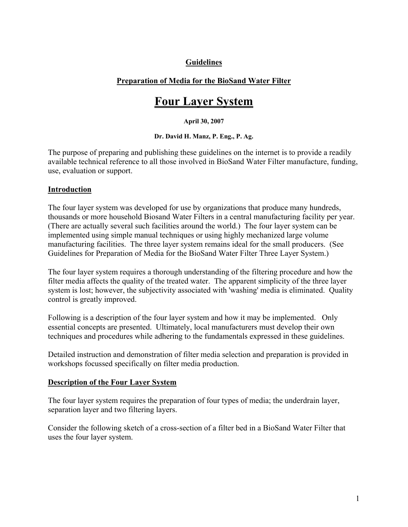# **Guidelines**

### **Preparation of Media for the BioSand Water Filter**

# **Four Layer System**

#### **April 30, 2007**

#### **Dr. David H. Manz, P. Eng., P. Ag.**

The purpose of preparing and publishing these guidelines on the internet is to provide a readily available technical reference to all those involved in BioSand Water Filter manufacture, funding, use, evaluation or support.

#### **Introduction**

The four layer system was developed for use by organizations that produce many hundreds, thousands or more household Biosand Water Filters in a central manufacturing facility per year. (There are actually several such facilities around the world.) The four layer system can be implemented using simple manual techniques or using highly mechanized large volume manufacturing facilities. The three layer system remains ideal for the small producers. (See Guidelines for Preparation of Media for the BioSand Water Filter Three Layer System.)

The four layer system requires a thorough understanding of the filtering procedure and how the filter media affects the quality of the treated water. The apparent simplicity of the three layer system is lost; however, the subjectivity associated with 'washing' media is eliminated. Quality control is greatly improved.

Following is a description of the four layer system and how it may be implemented. Only essential concepts are presented. Ultimately, local manufacturers must develop their own techniques and procedures while adhering to the fundamentals expressed in these guidelines.

Detailed instruction and demonstration of filter media selection and preparation is provided in workshops focussed specifically on filter media production.

#### **Description of the Four Layer System**

The four layer system requires the preparation of four types of media; the underdrain layer, separation layer and two filtering layers.

Consider the following sketch of a cross-section of a filter bed in a BioSand Water Filter that uses the four layer system.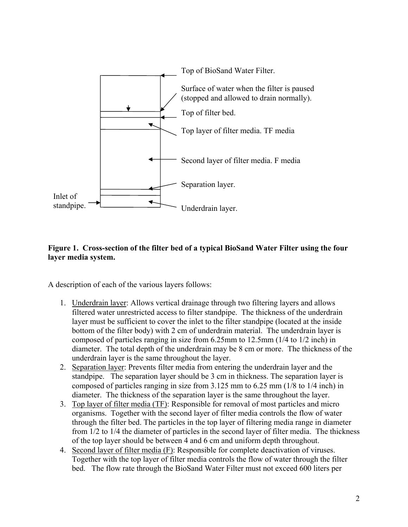

# **Figure 1. Cross-section of the filter bed of a typical BioSand Water Filter using the four layer media system.**

A description of each of the various layers follows:

- 1. Underdrain layer: Allows vertical drainage through two filtering layers and allows filtered water unrestricted access to filter standpipe. The thickness of the underdrain layer must be sufficient to cover the inlet to the filter standpipe (located at the inside bottom of the filter body) with 2 cm of underdrain material. The underdrain layer is composed of particles ranging in size from 6.25mm to 12.5mm (1/4 to 1/2 inch) in diameter. The total depth of the underdrain may be 8 cm or more. The thickness of the underdrain layer is the same throughout the layer.
- 2. Separation layer: Prevents filter media from entering the underdrain layer and the standpipe. The separation layer should be 3 cm in thickness. The separation layer is composed of particles ranging in size from 3.125 mm to 6.25 mm (1/8 to 1/4 inch) in diameter. The thickness of the separation layer is the same throughout the layer.
- 3. Top layer of filter media (TF): Responsible for removal of most particles and micro organisms. Together with the second layer of filter media controls the flow of water through the filter bed. The particles in the top layer of filtering media range in diameter from 1/2 to 1/4 the diameter of particles in the second layer of filter media. The thickness of the top layer should be between 4 and 6 cm and uniform depth throughout.
- 4. Second layer of filter media (F): Responsible for complete deactivation of viruses. Together with the top layer of filter media controls the flow of water through the filter bed. The flow rate through the BioSand Water Filter must not exceed 600 liters per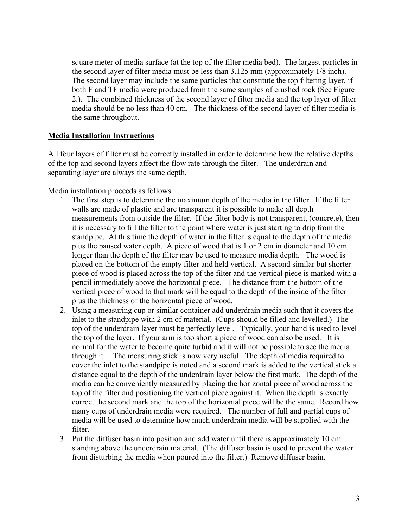square meter of media surface (at the top of the filter media bed). The largest particles in the second layer of filter media must be less than 3.125 mm (approximately 1/8 inch). The second layer may include the same particles that constitute the top filtering layer, if both F and TF media were produced from the same samples of crushed rock (See Figure 2.). The combined thickness of the second layer of filter media and the top layer of filter media should be no less than 40 cm. The thickness of the second layer of filter media is the same throughout.

### **Media Installation Instructions**

All four layers of filter must be correctly installed in order to determine how the relative depths of the top and second layers affect the flow rate through the filter. The underdrain and separating layer are always the same depth.

Media installation proceeds as follows:

- 1. The first step is to determine the maximum depth of the media in the filter. If the filter walls are made of plastic and are transparent it is possible to make all depth measurements from outside the filter. If the filter body is not transparent, (concrete), then it is necessary to fill the filter to the point where water is just starting to drip from the standpipe. At this time the depth of water in the filter is equal to the depth of the media plus the paused water depth. A piece of wood that is 1 or 2 cm in diameter and 10 cm longer than the depth of the filter may be used to measure media depth. The wood is placed on the bottom of the empty filter and held vertical. A second similar but shorter piece of wood is placed across the top of the filter and the vertical piece is marked with a pencil immediately above the horizontal piece. The distance from the bottom of the vertical piece of wood to that mark will be equal to the depth of the inside of the filter plus the thickness of the horizontal piece of wood.
- 2. Using a measuring cup or similar container add underdrain media such that it covers the inlet to the standpipe with 2 cm of material. (Cups should be filled and levelled.) The top of the underdrain layer must be perfectly level. Typically, your hand is used to level the top of the layer. If your arm is too short a piece of wood can also be used. It is normal for the water to become quite turbid and it will not be possible to see the media through it. The measuring stick is now very useful. The depth of media required to cover the inlet to the standpipe is noted and a second mark is added to the vertical stick a distance equal to the depth of the underdrain layer below the first mark. The depth of the media can be conveniently measured by placing the horizontal piece of wood across the top of the filter and positioning the vertical piece against it. When the depth is exactly correct the second mark and the top of the horizontal piece will be the same. Record how many cups of underdrain media were required. The number of full and partial cups of media will be used to determine how much underdrain media will be supplied with the filter.
- 3. Put the diffuser basin into position and add water until there is approximately 10 cm standing above the underdrain material. (The diffuser basin is used to prevent the water from disturbing the media when poured into the filter.) Remove diffuser basin.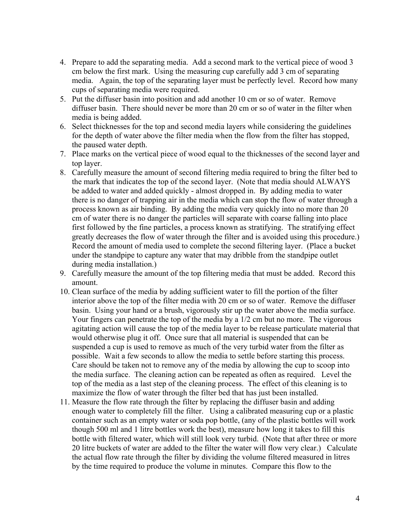- 4. Prepare to add the separating media. Add a second mark to the vertical piece of wood 3 cm below the first mark. Using the measuring cup carefully add 3 cm of separating media. Again, the top of the separating layer must be perfectly level. Record how many cups of separating media were required.
- 5. Put the diffuser basin into position and add another 10 cm or so of water. Remove diffuser basin. There should never be more than 20 cm or so of water in the filter when media is being added.
- 6. Select thicknesses for the top and second media layers while considering the guidelines for the depth of water above the filter media when the flow from the filter has stopped, the paused water depth.
- 7. Place marks on the vertical piece of wood equal to the thicknesses of the second layer and top layer.
- 8. Carefully measure the amount of second filtering media required to bring the filter bed to the mark that indicates the top of the second layer. (Note that media should ALWAYS be added to water and added quickly - almost dropped in. By adding media to water there is no danger of trapping air in the media which can stop the flow of water through a process known as air binding. By adding the media very quickly into no more than 20 cm of water there is no danger the particles will separate with coarse falling into place first followed by the fine particles, a process known as stratifying. The stratifying effect greatly decreases the flow of water through the filter and is avoided using this procedure.) Record the amount of media used to complete the second filtering layer. (Place a bucket under the standpipe to capture any water that may dribble from the standpipe outlet during media installation.)
- 9. Carefully measure the amount of the top filtering media that must be added. Record this amount.
- 10. Clean surface of the media by adding sufficient water to fill the portion of the filter interior above the top of the filter media with 20 cm or so of water. Remove the diffuser basin. Using your hand or a brush, vigorously stir up the water above the media surface. Your fingers can penetrate the top of the media by a 1/2 cm but no more. The vigorous agitating action will cause the top of the media layer to be release particulate material that would otherwise plug it off. Once sure that all material is suspended that can be suspended a cup is used to remove as much of the very turbid water from the filter as possible. Wait a few seconds to allow the media to settle before starting this process. Care should be taken not to remove any of the media by allowing the cup to scoop into the media surface. The cleaning action can be repeated as often as required. Level the top of the media as a last step of the cleaning process. The effect of this cleaning is to maximize the flow of water through the filter bed that has just been installed.
- 11. Measure the flow rate through the filter by replacing the diffuser basin and adding enough water to completely fill the filter. Using a calibrated measuring cup or a plastic container such as an empty water or soda pop bottle, (any of the plastic bottles will work though 500 ml and 1 litre bottles work the best), measure how long it takes to fill this bottle with filtered water, which will still look very turbid. (Note that after three or more 20 litre buckets of water are added to the filter the water will flow very clear.) Calculate the actual flow rate through the filter by dividing the volume filtered measured in litres by the time required to produce the volume in minutes. Compare this flow to the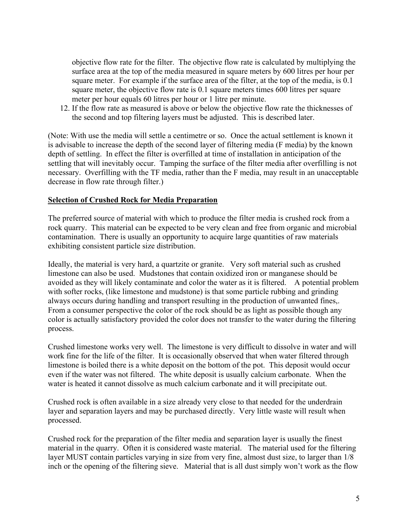objective flow rate for the filter. The objective flow rate is calculated by multiplying the surface area at the top of the media measured in square meters by 600 litres per hour per square meter. For example if the surface area of the filter, at the top of the media, is 0.1 square meter, the objective flow rate is 0.1 square meters times 600 litres per square meter per hour equals 60 litres per hour or 1 litre per minute.

12. If the flow rate as measured is above or below the objective flow rate the thicknesses of the second and top filtering layers must be adjusted. This is described later.

(Note: With use the media will settle a centimetre or so. Once the actual settlement is known it is advisable to increase the depth of the second layer of filtering media (F media) by the known depth of settling. In effect the filter is overfilled at time of installation in anticipation of the settling that will inevitably occur. Tamping the surface of the filter media after overfilling is not necessary. Overfilling with the TF media, rather than the F media, may result in an unacceptable decrease in flow rate through filter.)

#### **Selection of Crushed Rock for Media Preparation**

The preferred source of material with which to produce the filter media is crushed rock from a rock quarry. This material can be expected to be very clean and free from organic and microbial contamination. There is usually an opportunity to acquire large quantities of raw materials exhibiting consistent particle size distribution.

Ideally, the material is very hard, a quartzite or granite. Very soft material such as crushed limestone can also be used. Mudstones that contain oxidized iron or manganese should be avoided as they will likely contaminate and color the water as it is filtered. A potential problem with softer rocks, (like limestone and mudstone) is that some particle rubbing and grinding always occurs during handling and transport resulting in the production of unwanted fines,. From a consumer perspective the color of the rock should be as light as possible though any color is actually satisfactory provided the color does not transfer to the water during the filtering process.

Crushed limestone works very well. The limestone is very difficult to dissolve in water and will work fine for the life of the filter. It is occasionally observed that when water filtered through limestone is boiled there is a white deposit on the bottom of the pot. This deposit would occur even if the water was not filtered. The white deposit is usually calcium carbonate. When the water is heated it cannot dissolve as much calcium carbonate and it will precipitate out.

Crushed rock is often available in a size already very close to that needed for the underdrain layer and separation layers and may be purchased directly. Very little waste will result when processed.

Crushed rock for the preparation of the filter media and separation layer is usually the finest material in the quarry. Often it is considered waste material. The material used for the filtering layer MUST contain particles varying in size from very fine, almost dust size, to larger than 1/8 inch or the opening of the filtering sieve. Material that is all dust simply won't work as the flow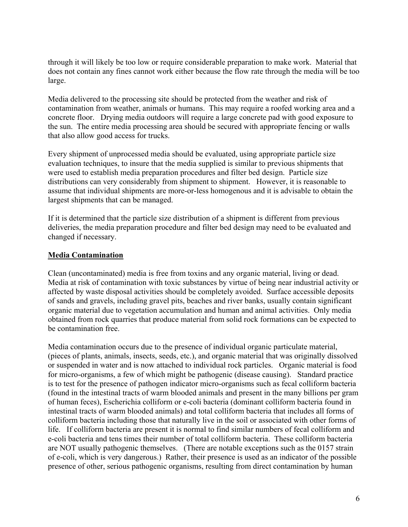through it will likely be too low or require considerable preparation to make work. Material that does not contain any fines cannot work either because the flow rate through the media will be too large.

Media delivered to the processing site should be protected from the weather and risk of contamination from weather, animals or humans. This may require a roofed working area and a concrete floor. Drying media outdoors will require a large concrete pad with good exposure to the sun. The entire media processing area should be secured with appropriate fencing or walls that also allow good access for trucks.

Every shipment of unprocessed media should be evaluated, using appropriate particle size evaluation techniques, to insure that the media supplied is similar to previous shipments that were used to establish media preparation procedures and filter bed design. Particle size distributions can very considerably from shipment to shipment. However, it is reasonable to assume that individual shipments are more-or-less homogenous and it is advisable to obtain the largest shipments that can be managed.

If it is determined that the particle size distribution of a shipment is different from previous deliveries, the media preparation procedure and filter bed design may need to be evaluated and changed if necessary.

# **Media Contamination**

Clean (uncontaminated) media is free from toxins and any organic material, living or dead. Media at risk of contamination with toxic substances by virtue of being near industrial activity or affected by waste disposal activities should be completely avoided. Surface accessible deposits of sands and gravels, including gravel pits, beaches and river banks, usually contain significant organic material due to vegetation accumulation and human and animal activities. Only media obtained from rock quarries that produce material from solid rock formations can be expected to be contamination free.

Media contamination occurs due to the presence of individual organic particulate material, (pieces of plants, animals, insects, seeds, etc.), and organic material that was originally dissolved or suspended in water and is now attached to individual rock particles. Organic material is food for micro-organisms, a few of which might be pathogenic (disease causing). Standard practice is to test for the presence of pathogen indicator micro-organisms such as fecal colliform bacteria (found in the intestinal tracts of warm blooded animals and present in the many billions per gram of human feces), Escherichia colliform or e-coli bacteria (dominant colliform bacteria found in intestinal tracts of warm blooded animals) and total colliform bacteria that includes all forms of colliform bacteria including those that naturally live in the soil or associated with other forms of life. If colliform bacteria are present it is normal to find similar numbers of fecal colliform and e-coli bacteria and tens times their number of total colliform bacteria. These colliform bacteria are NOT usually pathogenic themselves. (There are notable exceptions such as the 0157 strain of e-coli, which is very dangerous.) Rather, their presence is used as an indicator of the possible presence of other, serious pathogenic organisms, resulting from direct contamination by human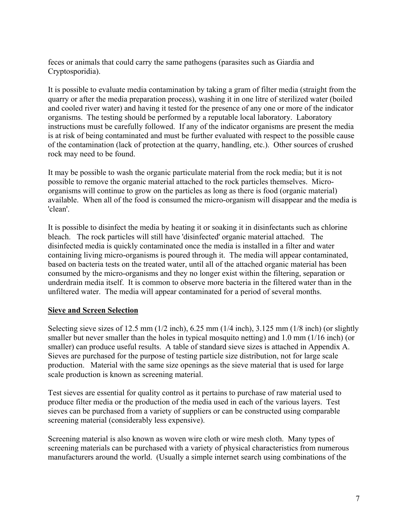feces or animals that could carry the same pathogens (parasites such as Giardia and Cryptosporidia).

It is possible to evaluate media contamination by taking a gram of filter media (straight from the quarry or after the media preparation process), washing it in one litre of sterilized water (boiled and cooled river water) and having it tested for the presence of any one or more of the indicator organisms. The testing should be performed by a reputable local laboratory. Laboratory instructions must be carefully followed. If any of the indicator organisms are present the media is at risk of being contaminated and must be further evaluated with respect to the possible cause of the contamination (lack of protection at the quarry, handling, etc.). Other sources of crushed rock may need to be found.

It may be possible to wash the organic particulate material from the rock media; but it is not possible to remove the organic material attached to the rock particles themselves. Microorganisms will continue to grow on the particles as long as there is food (organic material) available. When all of the food is consumed the micro-organism will disappear and the media is 'clean'.

It is possible to disinfect the media by heating it or soaking it in disinfectants such as chlorine bleach. The rock particles will still have 'disinfected' organic material attached. The disinfected media is quickly contaminated once the media is installed in a filter and water containing living micro-organisms is poured through it. The media will appear contaminated, based on bacteria tests on the treated water, until all of the attached organic material has been consumed by the micro-organisms and they no longer exist within the filtering, separation or underdrain media itself. It is common to observe more bacteria in the filtered water than in the unfiltered water. The media will appear contaminated for a period of several months.

# **Sieve and Screen Selection**

Selecting sieve sizes of 12.5 mm (1/2 inch), 6.25 mm (1/4 inch), 3.125 mm (1/8 inch) (or slightly smaller but never smaller than the holes in typical mosquito netting) and 1.0 mm (1/16 inch) (or smaller) can produce useful results. A table of standard sieve sizes is attached in Appendix A. Sieves are purchased for the purpose of testing particle size distribution, not for large scale production. Material with the same size openings as the sieve material that is used for large scale production is known as screening material.

Test sieves are essential for quality control as it pertains to purchase of raw material used to produce filter media or the production of the media used in each of the various layers. Test sieves can be purchased from a variety of suppliers or can be constructed using comparable screening material (considerably less expensive).

Screening material is also known as woven wire cloth or wire mesh cloth. Many types of screening materials can be purchased with a variety of physical characteristics from numerous manufacturers around the world. (Usually a simple internet search using combinations of the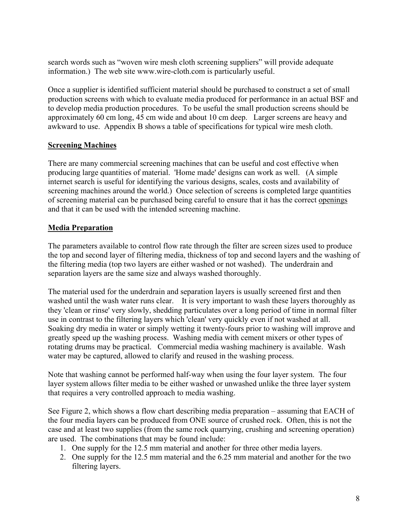search words such as "woven wire mesh cloth screening suppliers" will provide adequate information.) The web site www.wire-cloth.com is particularly useful.

Once a supplier is identified sufficient material should be purchased to construct a set of small production screens with which to evaluate media produced for performance in an actual BSF and to develop media production procedures. To be useful the small production screens should be approximately 60 cm long, 45 cm wide and about 10 cm deep. Larger screens are heavy and awkward to use. Appendix B shows a table of specifications for typical wire mesh cloth.

# **Screening Machines**

There are many commercial screening machines that can be useful and cost effective when producing large quantities of material. 'Home made' designs can work as well. (A simple internet search is useful for identifying the various designs, scales, costs and availability of screening machines around the world.) Once selection of screens is completed large quantities of screening material can be purchased being careful to ensure that it has the correct openings and that it can be used with the intended screening machine.

# **Media Preparation**

The parameters available to control flow rate through the filter are screen sizes used to produce the top and second layer of filtering media, thickness of top and second layers and the washing of the filtering media (top two layers are either washed or not washed). The underdrain and separation layers are the same size and always washed thoroughly.

The material used for the underdrain and separation layers is usually screened first and then washed until the wash water runs clear. It is very important to wash these layers thoroughly as they 'clean or rinse' very slowly, shedding particulates over a long period of time in normal filter use in contrast to the filtering layers which 'clean' very quickly even if not washed at all. Soaking dry media in water or simply wetting it twenty-fours prior to washing will improve and greatly speed up the washing process. Washing media with cement mixers or other types of rotating drums may be practical. Commercial media washing machinery is available. Wash water may be captured, allowed to clarify and reused in the washing process.

Note that washing cannot be performed half-way when using the four layer system. The four layer system allows filter media to be either washed or unwashed unlike the three layer system that requires a very controlled approach to media washing.

See Figure 2, which shows a flow chart describing media preparation – assuming that EACH of the four media layers can be produced from ONE source of crushed rock. Often, this is not the case and at least two supplies (from the same rock quarrying, crushing and screening operation) are used. The combinations that may be found include:

- 1. One supply for the 12.5 mm material and another for three other media layers.
- 2. One supply for the 12.5 mm material and the 6.25 mm material and another for the two filtering layers.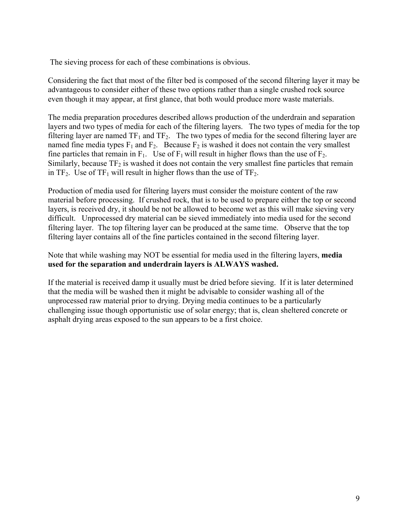The sieving process for each of these combinations is obvious.

Considering the fact that most of the filter bed is composed of the second filtering layer it may be advantageous to consider either of these two options rather than a single crushed rock source even though it may appear, at first glance, that both would produce more waste materials.

The media preparation procedures described allows production of the underdrain and separation layers and two types of media for each of the filtering layers. The two types of media for the top filtering layer are named  $TF_1$  and  $TF_2$ . The two types of media for the second filtering layer are named fine media types  $F_1$  and  $F_2$ . Because  $F_2$  is washed it does not contain the very smallest fine particles that remain in  $F_1$ . Use of  $F_1$  will result in higher flows than the use of  $F_2$ . Similarly, because  $TF_2$  is washed it does not contain the very smallest fine particles that remain in  $TF_2$ . Use of  $TF_1$  will result in higher flows than the use of  $TF_2$ .

Production of media used for filtering layers must consider the moisture content of the raw material before processing. If crushed rock, that is to be used to prepare either the top or second layers, is received dry, it should be not be allowed to become wet as this will make sieving very difficult. Unprocessed dry material can be sieved immediately into media used for the second filtering layer. The top filtering layer can be produced at the same time. Observe that the top filtering layer contains all of the fine particles contained in the second filtering layer.

Note that while washing may NOT be essential for media used in the filtering layers, **media used for the separation and underdrain layers is ALWAYS washed.** 

If the material is received damp it usually must be dried before sieving. If it is later determined that the media will be washed then it might be advisable to consider washing all of the unprocessed raw material prior to drying. Drying media continues to be a particularly challenging issue though opportunistic use of solar energy; that is, clean sheltered concrete or asphalt drying areas exposed to the sun appears to be a first choice.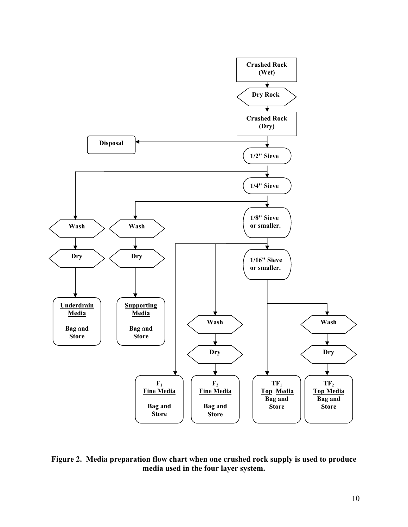

**Figure 2. Media preparation flow chart when one crushed rock supply is used to produce media used in the four layer system.**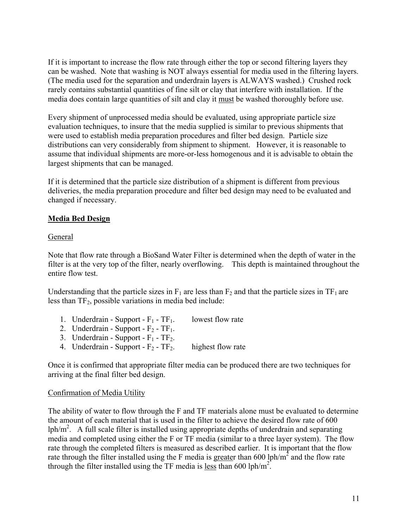If it is important to increase the flow rate through either the top or second filtering layers they can be washed. Note that washing is NOT always essential for media used in the filtering layers. (The media used for the separation and underdrain layers is ALWAYS washed.) Crushed rock rarely contains substantial quantities of fine silt or clay that interfere with installation. If the media does contain large quantities of silt and clay it must be washed thoroughly before use.

Every shipment of unprocessed media should be evaluated, using appropriate particle size evaluation techniques, to insure that the media supplied is similar to previous shipments that were used to establish media preparation procedures and filter bed design. Particle size distributions can very considerably from shipment to shipment. However, it is reasonable to assume that individual shipments are more-or-less homogenous and it is advisable to obtain the largest shipments that can be managed.

If it is determined that the particle size distribution of a shipment is different from previous deliveries, the media preparation procedure and filter bed design may need to be evaluated and changed if necessary.

### **Media Bed Design**

#### General

Note that flow rate through a BioSand Water Filter is determined when the depth of water in the filter is at the very top of the filter, nearly overflowing. This depth is maintained throughout the entire flow test.

Understanding that the particle sizes in  $F_1$  are less than  $F_2$  and that the particle sizes in  $TF_1$  are less than  $TF_2$ , possible variations in media bed include:

- 1. Underdrain Support  $F_1$   $TF_1$ . lowest flow rate
- 2. Underdrain Support  $F_2$   $TF_1$ .
- 3. Underdrain Support  $F_1$   $TF_2$ .
- 4. Underdrain Support  $F_2$   $TF_2$ . highest flow rate

Once it is confirmed that appropriate filter media can be produced there are two techniques for arriving at the final filter bed design.

#### Confirmation of Media Utility

The ability of water to flow through the F and TF materials alone must be evaluated to determine the amount of each material that is used in the filter to achieve the desired flow rate of 600 lph/ $m<sup>2</sup>$ . A full scale filter is installed using appropriate depths of underdrain and separating media and completed using either the F or TF media (similar to a three layer system). The flow rate through the completed filters is measured as described earlier. It is important that the flow rate through the filter installed using the F media is greater than 600 lph/m<sup>2</sup> and the flow rate through the filter installed using the TF media is  $l$ ess than 600 lph/m<sup>2</sup>.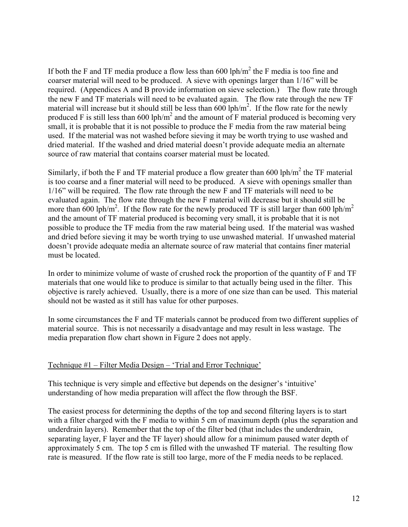If both the F and TF media produce a flow less than 600 lph/ $m^2$  the F media is too fine and coarser material will need to be produced. A sieve with openings larger than 1/16" will be required. (Appendices A and B provide information on sieve selection.) The flow rate through the new F and TF materials will need to be evaluated again. The flow rate through the new TF material will increase but it should still be less than  $600$  lph/m<sup>2</sup>. If the flow rate for the newly produced F is still less than 600 lph/m<sup>2</sup> and the amount of F material produced is becoming very small, it is probable that it is not possible to produce the F media from the raw material being used. If the material was not washed before sieving it may be worth trying to use washed and dried material. If the washed and dried material doesn't provide adequate media an alternate source of raw material that contains coarser material must be located.

Similarly, if both the F and TF material produce a flow greater than 600 lph/ $m<sup>2</sup>$  the TF material is too coarse and a finer material will need to be produced. A sieve with openings smaller than 1/16" will be required. The flow rate through the new F and TF materials will need to be evaluated again. The flow rate through the new F material will decrease but it should still be more than 600 lph/m<sup>2</sup>. If the flow rate for the newly produced TF is still larger than 600 lph/m<sup>2</sup> and the amount of TF material produced is becoming very small, it is probable that it is not possible to produce the TF media from the raw material being used. If the material was washed and dried before sieving it may be worth trying to use unwashed material. If unwashed material doesn't provide adequate media an alternate source of raw material that contains finer material must be located.

In order to minimize volume of waste of crushed rock the proportion of the quantity of F and TF materials that one would like to produce is similar to that actually being used in the filter. This objective is rarely achieved. Usually, there is a more of one size than can be used. This material should not be wasted as it still has value for other purposes.

In some circumstances the F and TF materials cannot be produced from two different supplies of material source. This is not necessarily a disadvantage and may result in less wastage. The media preparation flow chart shown in Figure 2 does not apply.

# Technique #1 – Filter Media Design – 'Trial and Error Technique'

This technique is very simple and effective but depends on the designer's 'intuitive' understanding of how media preparation will affect the flow through the BSF.

The easiest process for determining the depths of the top and second filtering layers is to start with a filter charged with the F media to within 5 cm of maximum depth (plus the separation and underdrain layers). Remember that the top of the filter bed (that includes the underdrain, separating layer, F layer and the TF layer) should allow for a minimum paused water depth of approximately 5 cm. The top 5 cm is filled with the unwashed TF material. The resulting flow rate is measured. If the flow rate is still too large, more of the F media needs to be replaced.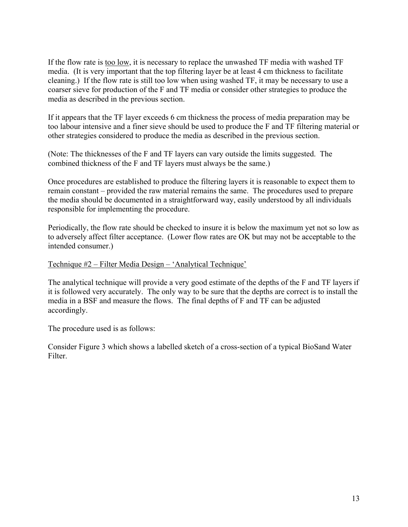If the flow rate is too low, it is necessary to replace the unwashed TF media with washed TF media. (It is very important that the top filtering layer be at least 4 cm thickness to facilitate cleaning.) If the flow rate is still too low when using washed TF, it may be necessary to use a coarser sieve for production of the F and TF media or consider other strategies to produce the media as described in the previous section.

If it appears that the TF layer exceeds 6 cm thickness the process of media preparation may be too labour intensive and a finer sieve should be used to produce the F and TF filtering material or other strategies considered to produce the media as described in the previous section.

(Note: The thicknesses of the F and TF layers can vary outside the limits suggested. The combined thickness of the F and TF layers must always be the same.)

Once procedures are established to produce the filtering layers it is reasonable to expect them to remain constant – provided the raw material remains the same. The procedures used to prepare the media should be documented in a straightforward way, easily understood by all individuals responsible for implementing the procedure.

Periodically, the flow rate should be checked to insure it is below the maximum yet not so low as to adversely affect filter acceptance. (Lower flow rates are OK but may not be acceptable to the intended consumer.)

#### Technique #2 – Filter Media Design – 'Analytical Technique'

The analytical technique will provide a very good estimate of the depths of the F and TF layers if it is followed very accurately. The only way to be sure that the depths are correct is to install the media in a BSF and measure the flows. The final depths of F and TF can be adjusted accordingly.

The procedure used is as follows:

Consider Figure 3 which shows a labelled sketch of a cross-section of a typical BioSand Water Filter.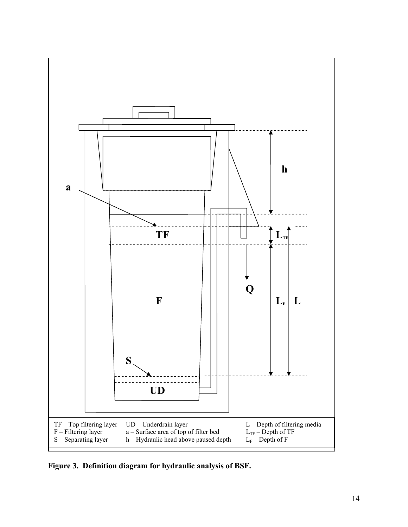

**Figure 3. Definition diagram for hydraulic analysis of BSF.**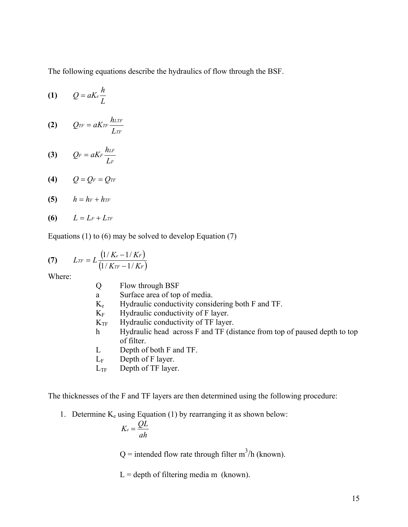The following equations describe the hydraulics of flow through the BSF.

$$
(1) \qquad Q = a K_e \frac{h}{L}
$$

$$
(2) \qquad Q_{TF} = aKrF \frac{h_{LTF}}{L_{TF}}
$$

$$
(3) \qquad Q_F = aK_F \frac{h_{LF}}{L_F}
$$

$$
(4) \qquad Q = Q_F = Q_{TF}
$$

$$
(5) \qquad h=h_F+h_{TF}
$$

$$
(6) \qquad L = L_F + L_{TF}
$$

Equations (1) to (6) may be solved to develop Equation (7)

(7) 
$$
L_{TF} = L \frac{(1/K_e - 1/K_F)}{(1/K_{TF} - 1/K_F)}
$$

Where:

| O               | Flow through BSF                                                         |
|-----------------|--------------------------------------------------------------------------|
| a               | Surface area of top of media.                                            |
| $K_e$           | Hydraulic conductivity considering both F and TF.                        |
| $K_{\rm F}$     | Hydraulic conductivity of F layer.                                       |
| $K_{\text{TF}}$ | Hydraulic conductivity of TF layer.                                      |
| h.              | Hydraulic head across F and TF (distance from top of paused depth to top |
|                 | of filter.                                                               |

- L Depth of both F and TF.
- $L_F$  Depth of F layer.
- $L_{TF}$  Depth of TF layer.

The thicknesses of the F and TF layers are then determined using the following procedure:

1. Determine  $K_e$  using Equation (1) by rearranging it as shown below:

$$
K_e = \frac{QL}{ah}
$$

 $Q =$  intended flow rate through filter m<sup>3</sup>/h (known).

 $L =$  depth of filtering media m (known).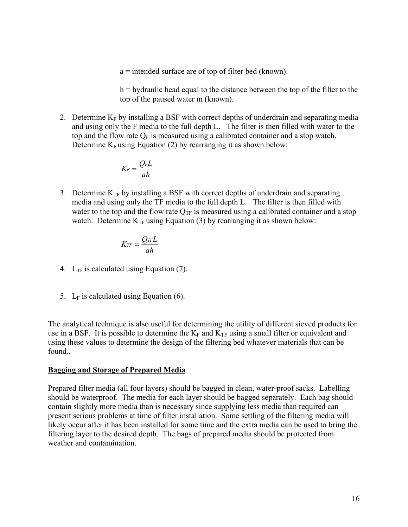a = intended surface are of top of filter bed (known).

h = hydraulic head equal to the distance between the top of the filter to the top of the paused water m (known).

2. Determine  $K_F$  by installing a BSF with correct depths of underdrain and separating media and using only the F media to the full depth L. The filter is then filled with water to the top and the flow rate  $Q_F$  is measured using a calibrated container and a stop watch. Determine  $K_F$  using Equation (2) by rearranging it as shown below:

$$
K_F = \frac{Q_F L}{ah}
$$

3. Determine  $K_{TF}$  by installing a BSF with correct depths of underdrain and separating media and using only the TF media to the full depth L. The filter is then filled with water to the top and the flow rate  $Q_{TF}$  is measured using a calibrated container and a stop watch. Determine  $K_{TF}$  using Equation (3) by rearranging it as shown below:

$$
K_{TF}=\frac{Q_{TF}L}{ah}
$$

- 4.  $L_{TF}$  is calculated using Equation (7).
- 5.  $L_F$  is calculated using Equation (6).

The analytical technique is also useful for determining the utility of different sieved products for use in a BSF. It is possible to determine the  $K_F$  and  $K_{TF}$  using a small filter or equivalent and using these values to determine the design of the filtering bed whatever materials that can be found..

#### **Bagging and Storage of Prepared Media**

Prepared filter media (all four layers) should be bagged in clean, water-proof sacks. Labelling should be waterproof. The media for each layer should be bagged separately. Each bag should contain slightly more media than is necessary since supplying less media than required can present serious problems at time of filter installation. Some settling of the filtering media will likely occur after it has been installed for some time and the extra media can be used to bring the filtering layer to the desired depth. The bags of prepared media should be protected from weather and contamination.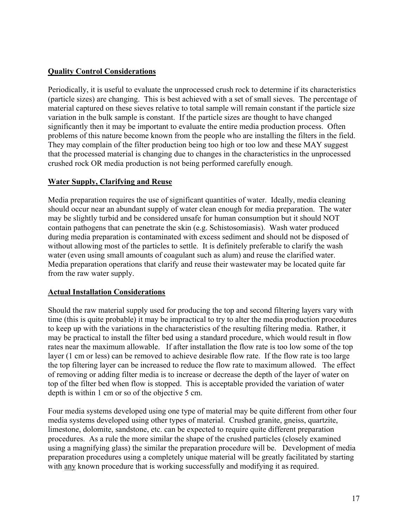# **Quality Control Considerations**

Periodically, it is useful to evaluate the unprocessed crush rock to determine if its characteristics (particle sizes) are changing. This is best achieved with a set of small sieves. The percentage of material captured on these sieves relative to total sample will remain constant if the particle size variation in the bulk sample is constant. If the particle sizes are thought to have changed significantly then it may be important to evaluate the entire media production process. Often problems of this nature become known from the people who are installing the filters in the field. They may complain of the filter production being too high or too low and these MAY suggest that the processed material is changing due to changes in the characteristics in the unprocessed crushed rock OR media production is not being performed carefully enough.

# **Water Supply, Clarifying and Reuse**

Media preparation requires the use of significant quantities of water. Ideally, media cleaning should occur near an abundant supply of water clean enough for media preparation. The water may be slightly turbid and be considered unsafe for human consumption but it should NOT contain pathogens that can penetrate the skin (e.g. Schistosomiasis). Wash water produced during media preparation is contaminated with excess sediment and should not be disposed of without allowing most of the particles to settle. It is definitely preferable to clarify the wash water (even using small amounts of coagulant such as alum) and reuse the clarified water. Media preparation operations that clarify and reuse their wastewater may be located quite far from the raw water supply.

# **Actual Installation Considerations**

Should the raw material supply used for producing the top and second filtering layers vary with time (this is quite probable) it may be impractical to try to alter the media production procedures to keep up with the variations in the characteristics of the resulting filtering media. Rather, it may be practical to install the filter bed using a standard procedure, which would result in flow rates near the maximum allowable. If after installation the flow rate is too low some of the top layer (1 cm or less) can be removed to achieve desirable flow rate. If the flow rate is too large the top filtering layer can be increased to reduce the flow rate to maximum allowed. The effect of removing or adding filter media is to increase or decrease the depth of the layer of water on top of the filter bed when flow is stopped. This is acceptable provided the variation of water depth is within 1 cm or so of the objective 5 cm.

Four media systems developed using one type of material may be quite different from other four media systems developed using other types of material. Crushed granite, gneiss, quartzite, limestone, dolomite, sandstone, etc. can be expected to require quite different preparation procedures. As a rule the more similar the shape of the crushed particles (closely examined using a magnifying glass) the similar the preparation procedure will be. Development of media preparation procedures using a completely unique material will be greatly facilitated by starting with any known procedure that is working successfully and modifying it as required.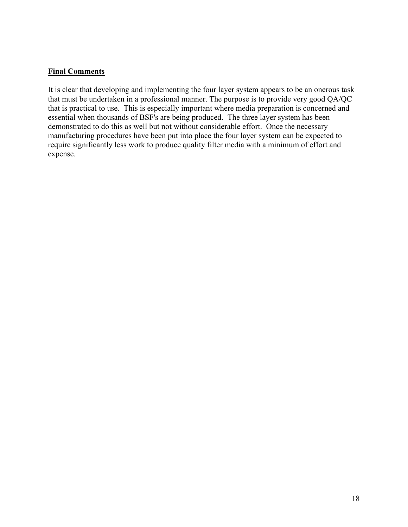# **Final Comments**

It is clear that developing and implementing the four layer system appears to be an onerous task that must be undertaken in a professional manner. The purpose is to provide very good QA/QC that is practical to use. This is especially important where media preparation is concerned and essential when thousands of BSF's are being produced. The three layer system has been demonstrated to do this as well but not without considerable effort. Once the necessary manufacturing procedures have been put into place the four layer system can be expected to require significantly less work to produce quality filter media with a minimum of effort and expense.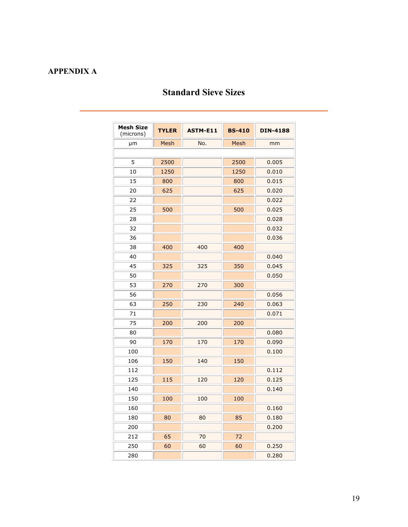# **APPENDIX A**

# **Standard Sieve Sizes**

| <b>Mesh Size</b><br>(microns) | <b>TYLER</b> | <b>BS-410</b><br><b>ASTM-E11</b> |      | <b>DIN-4188</b> |  |  |
|-------------------------------|--------------|----------------------------------|------|-----------------|--|--|
| μm                            | Mesh<br>No.  |                                  | Mesh | mm              |  |  |
|                               |              |                                  |      |                 |  |  |
| 5                             | 2500         |                                  | 2500 | 0.005           |  |  |
| 10                            | 1250         | 1250                             |      | 0.010           |  |  |
| 15                            | 800          |                                  | 800  | 0.015           |  |  |
| 20                            | 625          |                                  | 625  | 0.020           |  |  |
| 22                            |              |                                  |      | 0.022           |  |  |
| 25                            | 500          |                                  | 500  | 0.025           |  |  |
| 28                            |              |                                  |      | 0.028           |  |  |
| 32                            |              |                                  |      | 0.032           |  |  |
| 36                            |              |                                  |      | 0.036           |  |  |
| 38                            | 400          | 400                              | 400  |                 |  |  |
| 40                            |              |                                  |      | 0.040           |  |  |
| 45                            | 325          | 325                              | 350  | 0.045           |  |  |
| 50                            |              |                                  |      | 0.050           |  |  |
| 53                            | 270          | 270                              | 300  |                 |  |  |
| 56                            |              |                                  |      | 0.056           |  |  |
| 63                            | 250          | 230                              | 240  | 0.063           |  |  |
| 71                            |              |                                  |      | 0.071           |  |  |
| 75                            | 200          | 200                              | 200  |                 |  |  |
| 80                            |              |                                  |      | 0.080           |  |  |
| 90                            | 170          | 170                              | 170  | 0.090           |  |  |
| 100                           |              |                                  |      | 0.100           |  |  |
| 106                           | 150          | 140                              | 150  |                 |  |  |
| 112                           |              |                                  |      | 0.112           |  |  |
| 125                           | 115          | 120                              | 120  | 0.125           |  |  |
| 140                           |              |                                  |      | 0.140           |  |  |
| 150                           | 100          | 100                              | 100  |                 |  |  |
| 160                           |              |                                  |      | 0.160           |  |  |
| 180                           | 80           | 80                               | 85   | 0.180           |  |  |
| 200                           |              |                                  |      | 0.200           |  |  |
| 212                           | 65           | 70                               | 72   |                 |  |  |
| 250                           | 60           | 60                               | 60   | 0.250           |  |  |
| 280                           |              |                                  |      | 0.280           |  |  |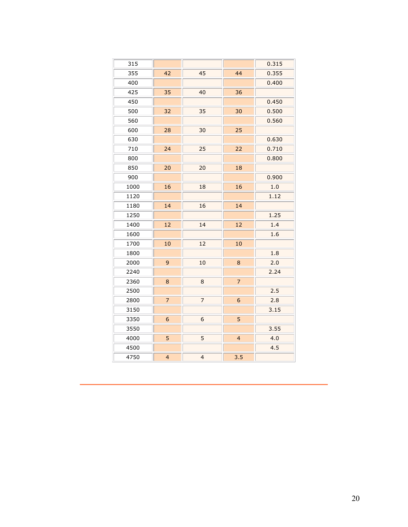| 315  |                |                |                  | 0.315 |
|------|----------------|----------------|------------------|-------|
| 355  | 42             | 45             | 44               | 0.355 |
| 400  |                |                |                  | 0.400 |
| 425  | 35             | 40             | 36               |       |
| 450  |                |                |                  | 0.450 |
| 500  | 32             | 35             | 30               | 0.500 |
| 560  |                |                |                  | 0.560 |
| 600  | 28             | 30             | 25               |       |
| 630  |                |                |                  | 0.630 |
| 710  | 24             | 25             | 22               | 0.710 |
| 800  |                |                |                  | 0.800 |
| 850  | 20             | 20             | 18               |       |
| 900  |                |                |                  | 0.900 |
| 1000 | 16             | 18             | 16               | 1.0   |
| 1120 |                |                |                  | 1.12  |
| 1180 | 14             | 16             | 14               |       |
| 1250 |                |                |                  | 1.25  |
| 1400 | 12             | 14             | 12               | 1.4   |
| 1600 |                |                |                  | 1.6   |
| 1700 | 10             | 12             | 10               |       |
| 1800 |                |                |                  | 1.8   |
| 2000 | 9              | 10             | $\bf 8$          | 2.0   |
| 2240 |                |                |                  | 2.24  |
| 2360 | 8              | 8              | $\overline{7}$   |       |
| 2500 |                |                |                  | 2.5   |
| 2800 | $\overline{7}$ | $\overline{7}$ | $\boldsymbol{6}$ | 2.8   |
| 3150 |                |                |                  | 3.15  |
| 3350 | 6              | 6              | 5                |       |
| 3550 |                |                |                  | 3.55  |
| 4000 | 5              | 5              | $\overline{4}$   | 4.0   |
| 4500 |                |                |                  | 4.5   |
| 4750 | $\overline{4}$ | $\overline{4}$ | 3.5              |       |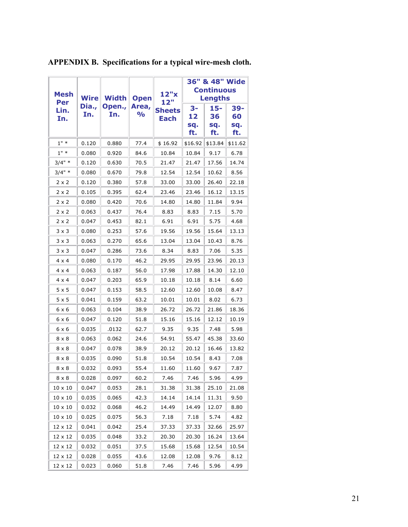| Mesh<br>Per    | <b>Wire</b>  | <b>Width</b>  | <b>Open</b>            | 12"x<br>12"                  | 36" & 48" Wide<br><b>Continuous</b><br><b>Lengths</b> |                         |                         |
|----------------|--------------|---------------|------------------------|------------------------------|-------------------------------------------------------|-------------------------|-------------------------|
| Lin.<br>In.    | Dia.,<br>In. | Open.,<br>In. | Area,<br>$\frac{1}{2}$ | <b>Sheets</b><br><b>Each</b> |                                                       | 15-<br>36<br>sq.<br>ft. | 39-<br>60<br>sq.<br>ft. |
| $1" *$         | 0.120        | 0.880         | 77.4                   | \$16.92                      | \$16.92                                               | \$13.84                 | \$11.62                 |
| $1" *$         | 0.080        | 0.920         | 84.6                   | 10.84                        | 10.84                                                 | 9.17                    | 6.78                    |
| $3/4" *$       | 0.120        | 0.630         | 70.5                   | 21.47                        | 21.47                                                 | 17.56                   | 14.74                   |
| $3/4"$ *       | 0.080        | 0.670         | 79.8                   | 12.54                        | 12.54                                                 | 10.62                   | 8.56                    |
| 2 x 2          | 0.120        | 0.380         | 57.8                   | 33.00                        | 33.00                                                 | 26.40                   | 22.18                   |
| $2 \times 2$   | 0.105        | 0.395         | 62.4                   | 23.46                        | 23.46                                                 | 16.12                   | 13.15                   |
| 2 x 2          | 0.080        | 0.420         | 70.6                   | 14.80                        | 14.80                                                 | 11.84                   | 9.94                    |
| 2 x 2          | 0.063        | 0.437         | 76.4                   | 8.83                         | 8.83                                                  | 7.15                    | 5.70                    |
| $2 \times 2$   | 0.047        | 0.453         | 82.1                   | 6.91                         | 6.91                                                  | 5.75                    | 4.68                    |
| 3 x 3          | 0.080        | 0.253         | 57.6                   | 19.56                        | 19.56                                                 | 15.64                   | 13.13                   |
| $3 \times 3$   | 0.063        | 0.270         | 65.6                   | 13.04                        | 13.04                                                 | 10.43                   | 8.76                    |
| 3 x 3          | 0.047        | 0.286         | 73.6                   | 8.34                         | 8.83                                                  | 7.06                    | 5.35                    |
| $4 \times 4$   | 0.080        | 0.170         | 46.2                   | 29.95                        | 29.95                                                 | 23.96                   | 20.13                   |
| 4 x 4          | 0.063        | 0.187         | 56.0                   | 17.98                        | 17.88                                                 | 14.30                   | 12.10                   |
| $4 \times 4$   | 0.047        | 0.203         | 65.9                   | 10.18                        | 10.18                                                 | 8.14                    | 6.60                    |
| 5 x 5          | 0.047        | 0.153         | 58.5                   | 12.60                        | 12.60                                                 | 10.08                   | 8.47                    |
| $5 \times 5$   | 0.041        | 0.159         | 63.2                   | 10.01                        | 10.01                                                 | 8.02                    | 6.73                    |
| 6 x 6          | 0.063        | 0.104         | 38.9                   | 26.72                        | 26.72                                                 | 21.86                   | 18.36                   |
| 6 x 6          | 0.047        | 0.120         | 51.8                   | 15.16                        | 15.16                                                 | 12.12                   | 10.19                   |
| 6 x 6          | 0.035        | .0132         | 62.7                   | 9.35                         | 9.35                                                  | 7.48                    | 5.98                    |
| 8 x 8          | 0.063        | 0.062         | 24.6                   | 54.91                        | 55.47                                                 | 45.38                   | 33.60                   |
| 8 x 8          | 0.047        | 0.078         | 38.9                   | 20.12                        | 20.12                                                 | 16.46                   | 13.82                   |
| 8 x 8          | 0.035        | 0.090         | 51.8                   | 10.54                        | 10.54                                                 | 8.43                    | 7.08                    |
| $8 \times 8$   | 0.032        | 0.093         | 55.4                   | 11.60                        | 11.60                                                 | 9.67                    | 7.87                    |
| $8 \times 8$   | 0.028        | 0.097         | 60.2                   | 7.46                         | 7.46                                                  | 5.96                    | 4.99                    |
| $10 \times 10$ | 0.047        | 0.053         | 28.1                   | 31.38                        | 31.38                                                 | 25.10                   | 21.08                   |
| $10\times10$   | 0.035        | 0.065         | 42.3                   | 14.14                        | 14.14                                                 | 11.31                   | 9.50                    |
| $10\times10$   | 0.032        | 0.068         | 46.2                   | 14.49                        | 14.49                                                 | 12.07                   | 8.80                    |
| $10 \times 10$ | 0.025        | 0.075         | 56.3                   | 7.18                         | 7.18                                                  | 5.74                    | 4.82                    |
| 12 x 12        | 0.041        | 0.042         | 25.4                   | 37.33                        | 37.33                                                 | 32.66                   | 25.97                   |
| 12 x 12        | 0.035        | 0.048         | 33.2                   | 20.30                        | 20.30                                                 | 16.24                   | 13.64                   |
| 12 x 12        | 0.032        | 0.051         | 37.5                   | 15.68                        | 15.68                                                 | 12.54                   | 10.54                   |
| 12 x 12        | 0.028        | 0.055         | 43.6                   | 12.08                        | 12.08                                                 | 9.76                    | 8.12                    |
| 12 x 12        | 0.023        | 0.060         | 51.8                   | 7.46                         | 7.46                                                  | 5.96                    | 4.99                    |

# **APPENDIX B. Specifications for a typical wire-mesh cloth.**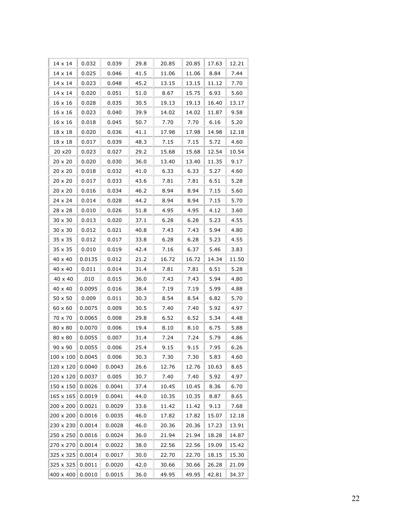| 14 x 14        | 0.032  | 0.039  | 29.8 | 20.85 | 20.85 | 17.63 | 12.21 |
|----------------|--------|--------|------|-------|-------|-------|-------|
| 14 x 14        | 0.025  | 0.046  | 41.5 | 11.06 | 11.06 | 8.84  | 7.44  |
| 14 x 14        | 0.023  | 0.048  | 45.2 | 13.15 | 13.15 | 11.12 | 7.70  |
| 14 x 14        | 0.020  | 0.051  | 51.0 | 8.67  | 15.75 | 6.93  | 5.60  |
| 16 x 16        | 0.028  | 0.035  | 30.5 | 19.13 | 19.13 | 16.40 | 13.17 |
| 16 x 16        | 0.023  | 0.040  | 39.9 | 14.02 | 14.02 | 11.87 | 9.58  |
| 16 x 16        | 0.018  | 0.045  | 50.7 | 7.70  | 7.70  | 6.16  | 5.20  |
| 18 x 18        | 0.020  | 0.036  | 41.1 | 17.98 | 17.98 | 14.98 | 12.18 |
| 18 x 18        | 0.017  | 0.039  | 48.3 | 7.15  | 7.15  | 5.72  | 4.60  |
| 20 x20         | 0.023  | 0.027  | 29.2 | 15.68 | 15.68 | 12.54 | 10.54 |
| 20 x 20        | 0.020  | 0.030  | 36.0 | 13.40 | 13.40 | 11.35 | 9.17  |
| $20 \times 20$ | 0.018  | 0.032  | 41.0 | 6.33  | 6.33  | 5.27  | 4.60  |
| 20 x 20        | 0.017  | 0.033  | 43.6 | 7.81  | 7.81  | 6.51  | 5.28  |
| $20 \times 20$ | 0.016  | 0.034  | 46.2 | 8.94  | 8.94  | 7.15  | 5.60  |
| 24 x 24        | 0.014  | 0.028  | 44.2 | 8.94  | 8.94  | 7.15  | 5.70  |
| 28 x 28        | 0.010  | 0.026  | 51.8 | 4.95  | 4.95  | 4.12  | 3.60  |
| $30 \times 30$ | 0.013  | 0.020  | 37.1 | 6.28  | 6.28  | 5.23  | 4.55  |
| $30 \times 30$ | 0.012  | 0.021  | 40.8 | 7.43  | 7.43  | 5.94  | 4.80  |
| 35 x 35        | 0.012  | 0.017  | 33.8 | 6.28  | 6.28  | 5.23  | 4.55  |
| 35 x 35        | 0.010  | 0.019  | 42.4 | 7.16  | 6.37  | 5.46  | 3.83  |
| 40 x 40        | 0.0135 | 0.012  | 21.2 | 16.72 | 16.72 | 14.34 | 11.50 |
| 40 x 40        | 0.011  | 0.014  | 31.4 | 7.81  | 7.81  | 6.51  | 5.28  |
| 40 x 40        | .010   | 0.015  | 36.0 | 7.43  | 7.43  | 5.94  | 4.80  |
| 40 x 40        | 0.0095 | 0.016  | 38.4 | 7.19  | 7.19  | 5.99  | 4.88  |
| 50 x 50        | 0.009  | 0.011  | 30.3 | 8.54  | 8.54  | 6.82  | 5.70  |
| $60 \times 60$ | 0.0075 | 0.009  | 30.5 | 7.40  | 7.40  | 5.92  | 4.97  |
| 70 x 70        | 0.0065 | 0.008  | 29.8 | 6.52  | 6.52  | 5.34  | 4.48  |
| 80 x 80        | 0.0070 | 0.006  | 19.4 | 8.10  | 8.10  | 6.75  | 5.88  |
| 80 x 80        | 0.0055 | 0.007  | 31.4 | 7.24  | 7.24  | 5.79  | 4.86  |
| 90 x 90        | 0.0055 | 0.006  | 25.4 | 9.15  | 9.15  | 7.95  | 6.26  |
| 100 x 100      | 0.0045 | 0.006  | 30.3 | 7.30  | 7.30  | 5.83  | 4.60  |
| 120 x 120      | 0.0040 | 0.0043 | 26.6 | 12.76 | 12.76 | 10.63 | 8.65  |
| 120 x 120      | 0.0037 | 0.005  | 30.7 | 7.40  | 7.40  | 5.92  | 4.97  |
| 150 x 150      | 0.0026 | 0.0041 | 37.4 | 10.45 | 10.45 | 8.36  | 6.70  |
| 165 x 165      | 0.0019 | 0.0041 | 44.0 | 10.35 | 10.35 | 8.87  | 8.65  |
| 200 x 200      | 0.0021 | 0.0029 | 33.6 | 11.42 | 11.42 | 9.13  | 7.68  |
| 200 x 200      | 0.0016 | 0.0035 | 46.0 | 17.82 | 17.82 | 15.07 | 12.18 |
| 230 x 230      | 0.0014 | 0.0028 | 46.0 | 20.36 | 20.36 | 17.23 | 13.91 |
| 250 x 250      | 0.0016 | 0.0024 | 36.0 | 21.94 | 21.94 | 18.28 | 14.87 |
| 270 x 270      | 0.0014 | 0.0022 | 38.0 | 22.56 | 22.56 | 19.09 | 15.42 |
| 325 x 325      | 0.0014 | 0.0017 | 30.0 | 22.70 | 22.70 | 18.15 | 15.30 |
| 325 x 325      | 0.0011 | 0.0020 | 42.0 | 30.66 | 30.66 | 26.28 | 21.09 |
| 400 x 400      | 0.0010 | 0.0015 | 36.0 | 49.95 | 49.95 | 42.81 | 34.37 |